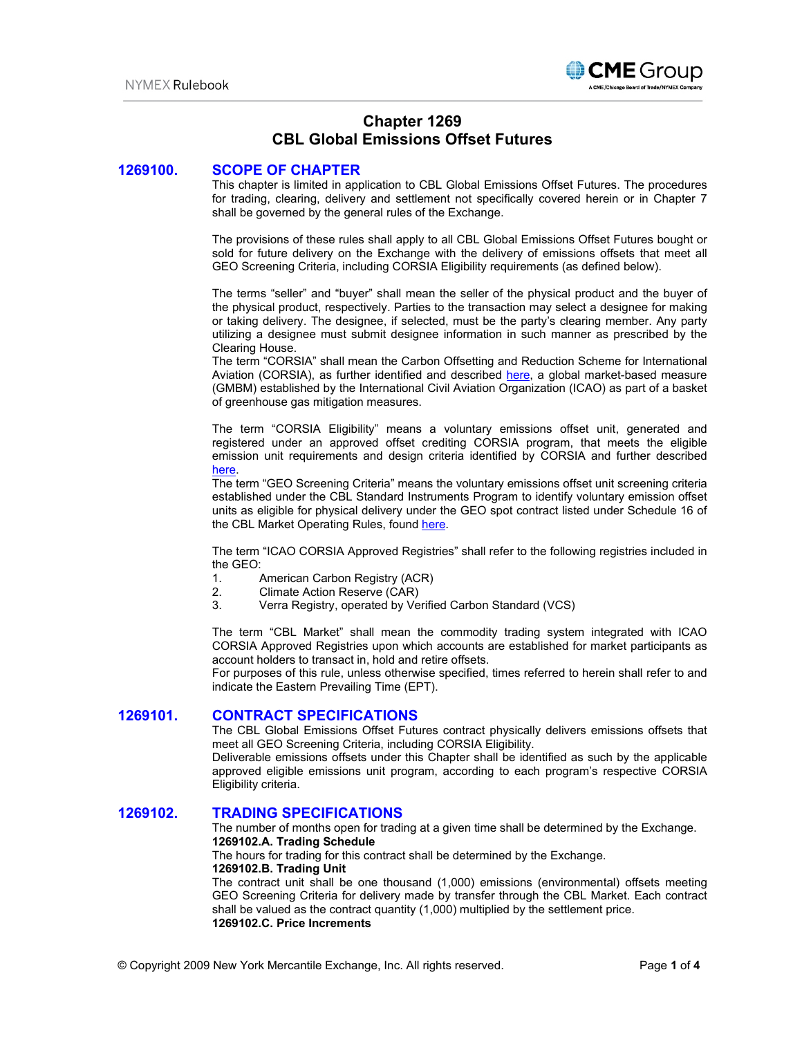

# **Chapter 1269 CBL Global Emissions Offset Futures**

## **1269100. SCOPE OF CHAPTER**

This chapter is limited in application to CBL Global Emissions Offset Futures. The procedures for trading, clearing, delivery and settlement not specifically covered herein or in Chapter 7 shall be governed by the general rules of the Exchange.

The provisions of these rules shall apply to all CBL Global Emissions Offset Futures bought or sold for future delivery on the Exchange with the delivery of emissions offsets that meet all GEO Screening Criteria, including CORSIA Eligibility requirements (as defined below).

The terms "seller" and "buyer" shall mean the seller of the physical product and the buyer of the physical product, respectively. Parties to the transaction may select a designee for making or taking delivery. The designee, if selected, must be the party's clearing member. Any party utilizing a designee must submit designee information in such manner as prescribed by the Clearing House.

The term "CORSIA" shall mean the Carbon Offsetting and Reduction Scheme for International Aviation (CORSIA), as further identified and described [here,](https://www.icao.int/environmental-protection/CORSIA/Pages/default.aspx) a global market-based measure (GMBM) established by the International Civil Aviation Organization (ICAO) as part of a basket of greenhouse gas mitigation measures.

The term "CORSIA Eligibility" means a voluntary emissions offset unit, generated and registered under an approved offset crediting CORSIA program, that meets the eligible emission unit requirements and design criteria identified by CORSIA and further described [here.](https://www.icao.int/environmental-protection/CORSIA/Pages/CORSIA-Emissions-Units.aspx)

The term "GEO Screening Criteria" means the voluntary emissions offset unit screening criteria established under the CBL Standard Instruments Program to identify voluntary emission offset units as eligible for physical delivery under the GEO spot contract listed under Schedule 16 of the CBL Market Operating Rules, found [here.](https://www.cblmarkets.com/wp-content/uploads/2021/01/Operating-Rules-Version-3.3.pdf)

The term "ICAO CORSIA Approved Registries" shall refer to the following registries included in the GEO:<br>1.

- American Carbon Registry (ACR)
- 2. Climate Action Reserve (CAR)
- 3. Verra Registry, operated by Verified Carbon Standard (VCS)

The term "CBL Market" shall mean the commodity trading system integrated with ICAO CORSIA Approved Registries upon which accounts are established for market participants as account holders to transact in, hold and retire offsets.

For purposes of this rule, unless otherwise specified, times referred to herein shall refer to and indicate the Eastern Prevailing Time (EPT).

# **1269101. CONTRACT SPECIFICATIONS**

The CBL Global Emissions Offset Futures contract physically delivers emissions offsets that meet all GEO Screening Criteria, including CORSIA Eligibility.

Deliverable emissions offsets under this Chapter shall be identified as such by the applicable approved eligible emissions unit program, according to each program's respective CORSIA Eligibility criteria.

# **1269102. TRADING SPECIFICATIONS**

The number of months open for trading at a given time shall be determined by the Exchange. **1269102.A. Trading Schedule** 

The hours for trading for this contract shall be determined by the Exchange.

## **1269102.B. Trading Unit**

The contract unit shall be one thousand (1,000) emissions (environmental) offsets meeting GEO Screening Criteria for delivery made by transfer through the CBL Market. Each contract shall be valued as the contract quantity (1,000) multiplied by the settlement price. **1269102.C. Price Increments**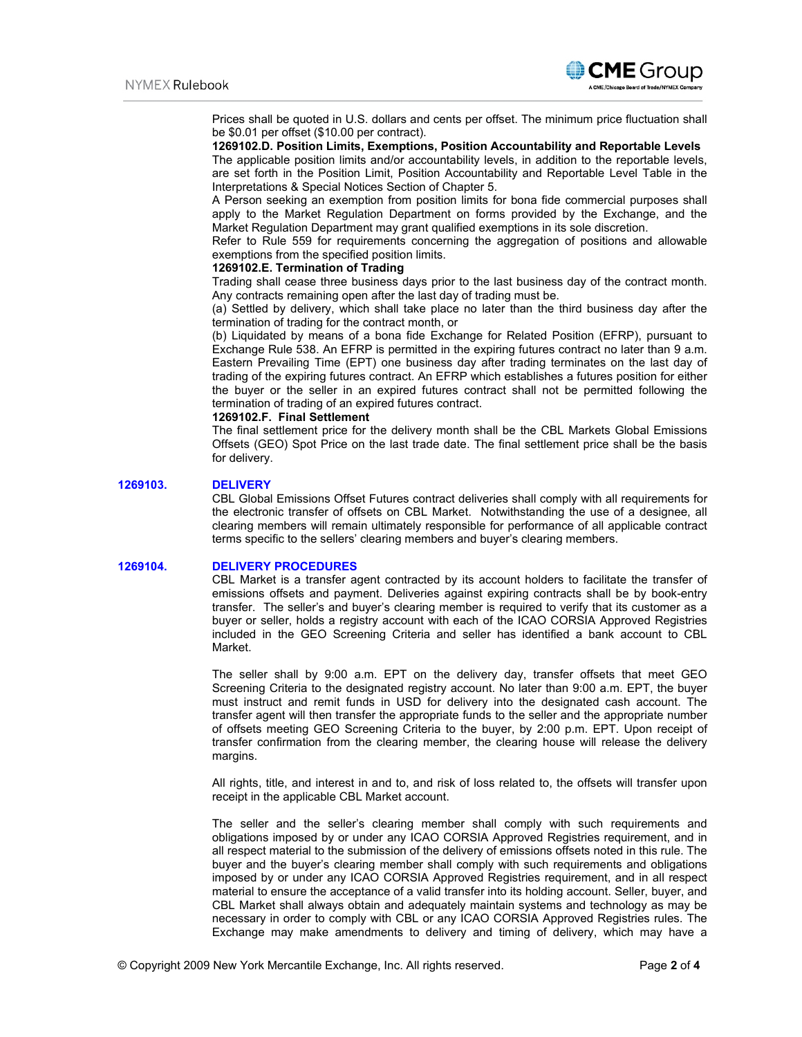

Prices shall be quoted in U.S. dollars and cents per offset. The minimum price fluctuation shall be \$0.01 per offset (\$10.00 per contract).

# **1269102.D. Position Limits, Exemptions, Position Accountability and Reportable Levels**

The applicable position limits and/or accountability levels, in addition to the reportable levels, are set forth in the Position Limit, Position Accountability and Reportable Level Table in the Interpretations & Special Notices Section of Chapter 5.

A Person seeking an exemption from position limits for bona fide commercial purposes shall apply to the Market Regulation Department on forms provided by the Exchange, and the Market Regulation Department may grant qualified exemptions in its sole discretion.

Refer to Rule 559 for requirements concerning the aggregation of positions and allowable exemptions from the specified position limits.

## **1269102.E. Termination of Trading**

Trading shall cease three business days prior to the last business day of the contract month. Any contracts remaining open after the last day of trading must be.

(a) Settled by delivery, which shall take place no later than the third business day after the termination of trading for the contract month, or

(b) Liquidated by means of a bona fide Exchange for Related Position (EFRP), pursuant to Exchange Rule 538. An EFRP is permitted in the expiring futures contract no later than 9 a.m. Eastern Prevailing Time (EPT) one business day after trading terminates on the last day of trading of the expiring futures contract. An EFRP which establishes a futures position for either the buyer or the seller in an expired futures contract shall not be permitted following the termination of trading of an expired futures contract.

# **1269102.F. Final Settlement**

The final settlement price for the delivery month shall be the CBL Markets Global Emissions Offsets (GEO) Spot Price on the last trade date. The final settlement price shall be the basis for delivery.

## **1269103. DELIVERY**

CBL Global Emissions Offset Futures contract deliveries shall comply with all requirements for the electronic transfer of offsets on CBL Market. Notwithstanding the use of a designee, all clearing members will remain ultimately responsible for performance of all applicable contract terms specific to the sellers' clearing members and buyer's clearing members.

#### **1269104. DELIVERY PROCEDURES**

CBL Market is a transfer agent contracted by its account holders to facilitate the transfer of emissions offsets and payment. Deliveries against expiring contracts shall be by book-entry transfer. The seller's and buyer's clearing member is required to verify that its customer as a buyer or seller, holds a registry account with each of the ICAO CORSIA Approved Registries included in the GEO Screening Criteria and seller has identified a bank account to CBL Market.

The seller shall by 9:00 a.m. EPT on the delivery day, transfer offsets that meet GEO Screening Criteria to the designated registry account. No later than 9:00 a.m. EPT, the buyer must instruct and remit funds in USD for delivery into the designated cash account. The transfer agent will then transfer the appropriate funds to the seller and the appropriate number of offsets meeting GEO Screening Criteria to the buyer, by 2:00 p.m. EPT. Upon receipt of transfer confirmation from the clearing member, the clearing house will release the delivery margins.

All rights, title, and interest in and to, and risk of loss related to, the offsets will transfer upon receipt in the applicable CBL Market account.

The seller and the seller's clearing member shall comply with such requirements and obligations imposed by or under any ICAO CORSIA Approved Registries requirement, and in all respect material to the submission of the delivery of emissions offsets noted in this rule. The buyer and the buyer's clearing member shall comply with such requirements and obligations imposed by or under any ICAO CORSIA Approved Registries requirement, and in all respect material to ensure the acceptance of a valid transfer into its holding account. Seller, buyer, and CBL Market shall always obtain and adequately maintain systems and technology as may be necessary in order to comply with CBL or any ICAO CORSIA Approved Registries rules. The Exchange may make amendments to delivery and timing of delivery, which may have a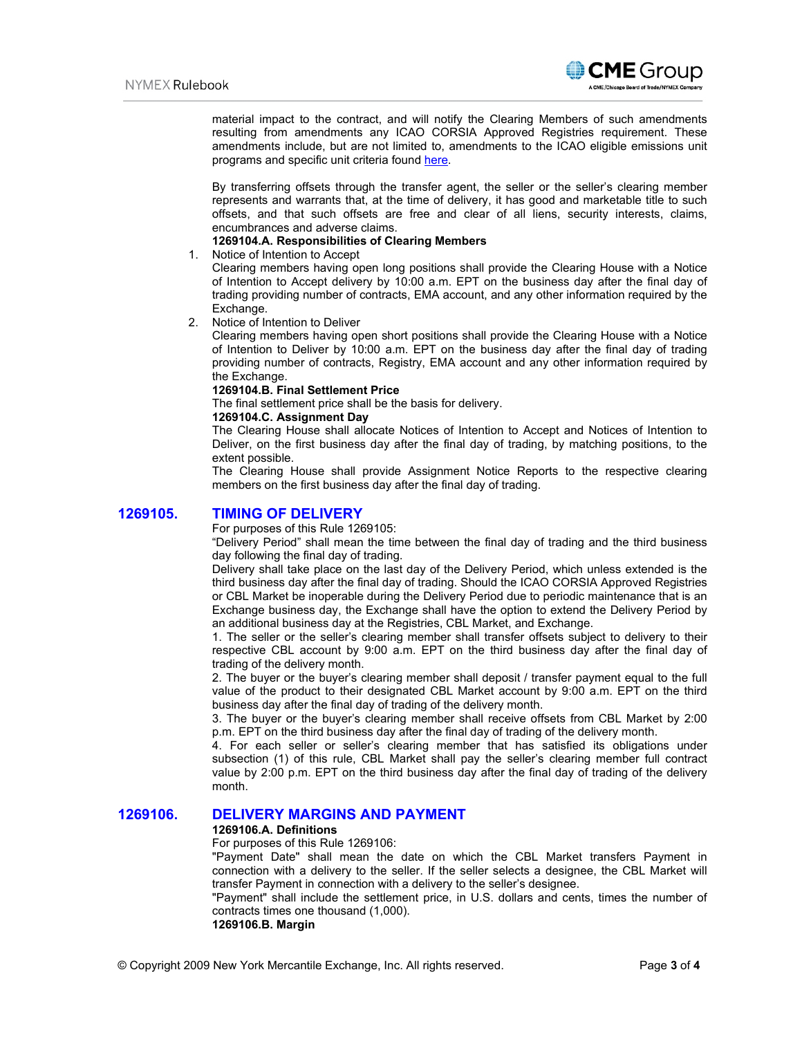

material impact to the contract, and will notify the Clearing Members of such amendments resulting from amendments any ICAO CORSIA Approved Registries requirement. These amendments include, but are not limited to, amendments to the ICAO eligible emissions unit programs and specific unit criteria found [here.](https://www.icao.int/environmental-protection/CORSIA/Pages/CORSIA-Emissions-Units.aspx)

By transferring offsets through the transfer agent, the seller or the seller's clearing member represents and warrants that, at the time of delivery, it has good and marketable title to such offsets, and that such offsets are free and clear of all liens, security interests, claims, encumbrances and adverse claims.

## **1269104.A. Responsibilities of Clearing Members**

## 1. Notice of Intention to Accept

Clearing members having open long positions shall provide the Clearing House with a Notice of Intention to Accept delivery by 10:00 a.m. EPT on the business day after the final day of trading providing number of contracts, EMA account, and any other information required by the Exchange.

## 2. Notice of Intention to Deliver

Clearing members having open short positions shall provide the Clearing House with a Notice of Intention to Deliver by 10:00 a.m. EPT on the business day after the final day of trading providing number of contracts, Registry, EMA account and any other information required by the Exchange.

## **1269104.B. Final Settlement Price**

The final settlement price shall be the basis for delivery.

## **1269104.C. Assignment Day**

The Clearing House shall allocate Notices of Intention to Accept and Notices of Intention to Deliver, on the first business day after the final day of trading, by matching positions, to the extent possible.

The Clearing House shall provide Assignment Notice Reports to the respective clearing members on the first business day after the final day of trading.

# **1269105. TIMING OF DELIVERY**

For purposes of this Rule 1269105:

"Delivery Period" shall mean the time between the final day of trading and the third business day following the final day of trading.

Delivery shall take place on the last day of the Delivery Period, which unless extended is the third business day after the final day of trading. Should the ICAO CORSIA Approved Registries or CBL Market be inoperable during the Delivery Period due to periodic maintenance that is an Exchange business day, the Exchange shall have the option to extend the Delivery Period by an additional business day at the Registries, CBL Market, and Exchange.

1. The seller or the seller's clearing member shall transfer offsets subject to delivery to their respective CBL account by 9:00 a.m. EPT on the third business day after the final day of trading of the delivery month.

2. The buyer or the buyer's clearing member shall deposit / transfer payment equal to the full value of the product to their designated CBL Market account by 9:00 a.m. EPT on the third business day after the final day of trading of the delivery month.

3. The buyer or the buyer's clearing member shall receive offsets from CBL Market by 2:00 p.m. EPT on the third business day after the final day of trading of the delivery month.

4. For each seller or seller's clearing member that has satisfied its obligations under subsection (1) of this rule, CBL Market shall pay the seller's clearing member full contract value by 2:00 p.m. EPT on the third business day after the final day of trading of the delivery month.

# **1269106. DELIVERY MARGINS AND PAYMENT**

### **1269106.A. Definitions**

For purposes of this Rule 1269106:

"Payment Date" shall mean the date on which the CBL Market transfers Payment in connection with a delivery to the seller. If the seller selects a designee, the CBL Market will transfer Payment in connection with a delivery to the seller's designee.

"Payment" shall include the settlement price, in U.S. dollars and cents, times the number of contracts times one thousand (1,000).

**1269106.B. Margin**